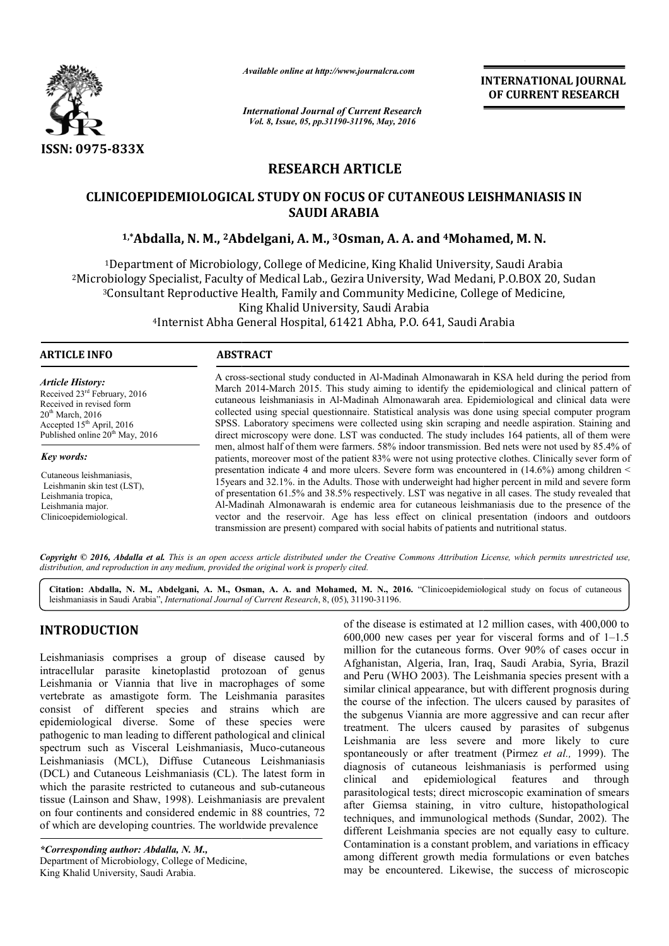

*Available online at http://www.journalcra.com*

*International Journal of Current Research Vol. 8, Issue, 05, pp.31190-31196, May, 2016*

**INTERNATIONAL JOURNAL OF CURRENT RESEARCH** 

# **RESEARCH ARTICLE**

# **CLINICOEPIDEMIOLOGICAL STUDY ON FOCUS OF CUTANEOUS LEISHMANIASIS IN**  COEPIDEMIOLOGICAL STUDY ON FOCUS OF CUTANEOUS LEISHMANIA<br>SAUDI ARABIA<br><sup>1,\*</sup>Abdalla, N. M., <sup>2</sup>Abdelgani, A. M., <sup>3</sup>Osman, A. A. and <sup>4</sup>Mohamed, M. N. **SAUDI ARABIA**

1Department of Microbiology, College of Medicine, King Khalid University, Saudi Arabia 2Microbiology Specialist, Faculty of Medical Lab., Gezira University, Wad Medani, P.O.BOX 20, Sudan <sup>3</sup>Consultant Reproductive Health, Family and Community Medicine, College of Medicine, King Khalid University, Saudi Arabia 4Internist Abha General Hospital, 61421 Abha, P.O. 641, Saudi Arabia Internist <sup>1</sup>Department of Microbiology, College of Medicine, King Khalid University, Saudi Arabia<br>Microbiology Specialist, Faculty of Medical Lab., Gezira University, Wad Medani, P.O.BOX 20, Sudan<br><sup>3</sup>Consultant Reproductive Health,

### **ARTICLE INFO ABSTRACT**

*Article History:* Received 23rd February, 2016 Received in revised form 20<sup>th</sup> March, 2016 Accepted 15<sup>th</sup> April, 2016 Published online 20<sup>th</sup> May, 2016

*Key words:*

Cutaneous leishmaniasis, Leishmanin skin test (LST), Leishmania tropica Leishmania major. Clinicoepidemiological.

A cross-sectional study conducted in Al-Madinah Almonawarah in KSA held during the period from March 2014 2014-March 2015. This study aiming to identify the epidemiological and clinical pattern of cutaneous leishmaniasis in Al Al-Madinah Almonawarah area. Epidemiological and clinical data were collected using special questionnaire. Statistical analysis was done using special computer program SPSS. Laboratory specimens were collected using skin scraping and needle aspiration. Staining and direct microsco microscopy were done. LST was conducted. The study includes 164 patients, all of them were men, almost half of them were farmers. 58% indoor transmission. Bed nets were not used by 85.4% of patients, moreover most of the patient 83% were not using protective clothes. Clinically sever form of presentation indicate 4 and more ulcers. Severe form was encountered in  $(14.6%)$  among children  $\le$ 15years and 32.1%. in the Adults. Those with underweight had higher percent in mild and severe form of presentation 61.5% and 38.5 38.5% respectively. LST was negative in all cases. The study revealed that Al-Madinah Almonawarah is endemic area for cutaneous leishmaniasis due to the presence of the Madinah vector and the reservoir. Age has less effect on clinical presentation (indoors and outdoor transmission are present) compared with social habits of patients and nutritional status. A cross-sectional study conducted in Al-Madinah Almonawarah in KSA held during the period from<br>March 2014-March 2015. This study aiming to identify the epidemiological and clinical pattern of<br>cutaneous leishmaniasis in Alpresentation indicate 4 and more ulcers. Severe form was encountered in (14.6%) among children <<br>15years and 32.1%. in the Adults. Those with underweight had higher percent in mild and severe form<br>of presentation 61.5% and

Copyright © 2016, Abdalla et al. This is an open access article distributed under the Creative Commons Attribution License, which permits unrestricted use, *distribution, and reproduction in any medium, provided the original work is properly cited.*

Citation: Abdalla, N. M., Abdelgani, A. M., Osman, A. A. and Mohamed, M. N., 2016. "Clinicoepidemiological study on focus of cutaneous leishmaniasis in Saudi Arabia", *International Journal of Current Research* , 8, (05), 31190-31196.

# **INTRODUCTION**

Leishmaniasis comprises a group of disease caused by intracellular parasite kinetoplastid protozoan of genus Leishmania or Viannia that live in macrophages of some vertebrate as amastigote form. The Leishmania parasites consist of different species and strains which are epidemiological diverse. Some of these species were pathogenic to man leading to different pathological and clinical pathogenic to man leading to different pathological and clinical<br>spectrum such as Visceral Leishmaniasis, Muco-cutaneous Leishmaniasis (MCL), Diffuse Cutaneous Leishmaniasis (DCL) and Cutaneous Leishmaniasis (CL). The latest form in which the parasite restricted to cutaneous and sub-cutaneous tissue (Lainson and Shaw, 1998). Leishmaniasis are prevalent on four continents and considered endemic in 88 countries, 72 of which are developing countries. The worldwide prevalence

*\*Corresponding author: Abdalla, N. M.,* Department of Microbiology, College of Medicine, King Khalid University, Saudi Arabia.

of the disease is estimated at 12 million cases, with 400,000 to % of the disease is estimated at 12 million cases, with 400,000 to  $600,000$  new cases per year for visceral forms and of  $1-1.5$ million for the cutaneous forms. Over 90% of cases occur in Afghanistan, Algeria, Iran, Iraq, Saudi Arabia, Syria, Brazil and Peru (WHO 2003). The Leishmania species present with a similar clinical appearance, but with different prognosis during the course of the infection. The ulcers caused by parasites of the subgenus Viannia are more aggressive and can recur after treatment. The ulcers caused by parasites of subgenus Leishmania are less severe and more likely to cure spontaneously or after treatment (Pirmez et al., 1999). The diagnosis of cutaneous leishmaniasis is performed using clinical and epidemiological features and through parasitological tests; direct microscopic examination of smears after Giemsa staining, in vitro culture, histopathological techniques, and immunological methods ( different Leishmania species are not equally easy to culture. Contamination is a constant problem, and variations in efficacy among different growth media formulations or even batches may be encountered. Likewise, the success of microscopic for the cutaneous forms. Over 90% of cases occur in istan, Algeria, Iran, Iraq, Saudi Arabia, Syria, Brazil u (WHO 2003). The Leishmania species present with a clinical appearance, but with different prognosis during rse o gical tests; direct microscopic examination of smears<br>msa staining, in vitro culture, histopathological<br>s, and immunological methods (Sundar, 2002). The INTERNATTIONAL JOURNAL<br>
CHE Research<br>
IDENTIFIENT (OF CURRENT RESEARCH<br>
CHE Research<br>
IDENTIFIENT (OF CURRENT RESEARCH<br>
TICLE<br>
TICLE<br>
TICLE<br>
TICLE<br>
TICLE<br>
TICLE<br>
AIM, A. A. and <sup>4</sup>Mohamed, M. N.<br>
King Khalid University, S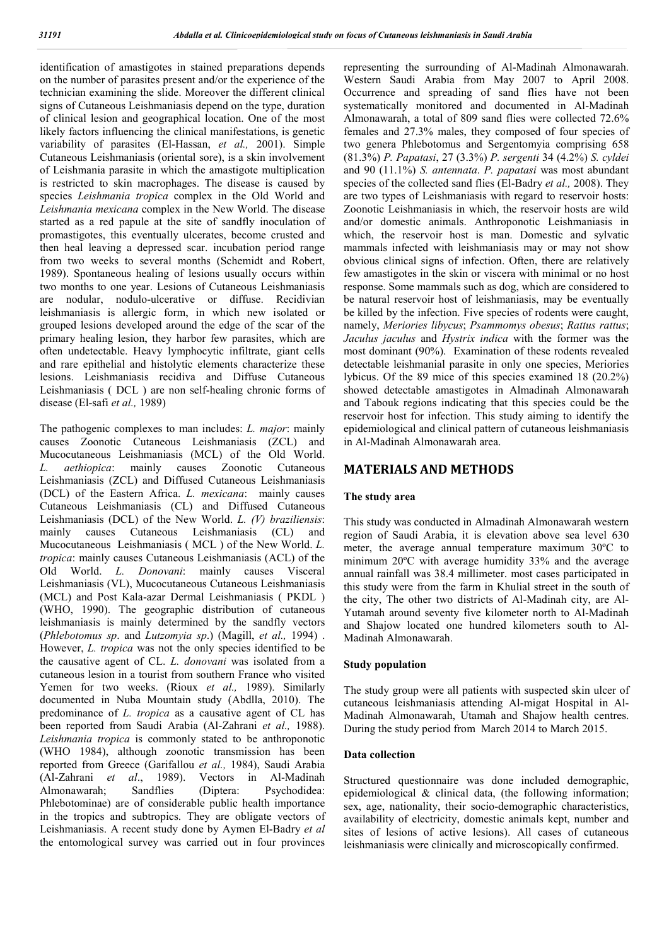identification of amastigotes in stained preparations depends on the number of parasites present and/or the experience of the technician examining the slide. Moreover the different clinical signs of Cutaneous Leishmaniasis depend on the type, duration of clinical lesion and geographical location. One of the most likely factors influencing the clinical manifestations, is genetic variability of parasites (El-Hassan, *et al.,* 2001). Simple Cutaneous Leishmaniasis (oriental sore), is a skin involvement of Leishmania parasite in which the amastigote multiplication is restricted to skin macrophages. The disease is caused by species *Leishmania tropica* complex in the Old World and *Leishmania mexicana* complex in the New World. The disease started as a red papule at the site of sandfly inoculation of promastigotes, this eventually ulcerates, become crusted and then heal leaving a depressed scar. incubation period range from two weeks to several months (Schemidt and Robert, 1989). Spontaneous healing of lesions usually occurs within two months to one year. Lesions of Cutaneous Leishmaniasis are nodular, nodulo-ulcerative or diffuse. Recidivian leishmaniasis is allergic form, in which new isolated or grouped lesions developed around the edge of the scar of the primary healing lesion, they harbor few parasites, which are often undetectable. Heavy lymphocytic infiltrate, giant cells and rare epithelial and histolytic elements characterize these lesions. Leishmaniasis recidiva and Diffuse Cutaneous Leishmaniasis ( DCL ) are non self-healing chronic forms of disease (El-safi *et al.,* 1989)

The pathogenic complexes to man includes: *L. major*: mainly causes Zoonotic Cutaneous Leishmaniasis (ZCL) and Mucocutaneous Leishmaniasis (MCL) of the Old World. *L. aethiopica*: mainly causes Zoonotic Cutaneous Leishmaniasis (ZCL) and Diffused Cutaneous Leishmaniasis (DCL) of the Eastern Africa. *L. mexicana*: mainly causes Cutaneous Leishmaniasis (CL) and Diffused Cutaneous Leishmaniasis (DCL) of the New World. *L. (V) braziliensis*: mainly causes Cutaneous Leishmaniasis (CL) and Mucocutaneous Leishmaniasis ( MCL ) of the New World. *L. tropica*: mainly causes Cutaneous Leishmaniasis (ACL) of the Old World. *L. Donovani*: mainly causes Visceral Leishmaniasis (VL), Mucocutaneous Cutaneous Leishmaniasis (MCL) and Post Kala-azar Dermal Leishmaniasis ( PKDL ) (WHO, 1990). The geographic distribution of cutaneous leishmaniasis is mainly determined by the sandfly vectors (*Phlebotomus sp*. and *Lutzomyia sp*.) (Magill, *et al.,* 1994) . However, *L. tropica* was not the only species identified to be the causative agent of CL. *L. donovani* was isolated from a cutaneous lesion in a tourist from southern France who visited Yemen for two weeks. (Rioux *et al.,* 1989). Similarly documented in Nuba Mountain study (Abdlla, 2010). The predominance of *L. tropica* as a causative agent of CL has been reported from Saudi Arabia (Al-Zahrani *et al.,* 1988). *Leishmania tropica* is commonly stated to be anthroponotic (WHO 1984), although zoonotic transmission has been reported from Greece (Garifallou *et al.,* 1984), Saudi Arabia (Al-Zahrani *et al*., 1989). Vectors in Al-Madinah Almonawarah; Sandflies (Diptera: Psychodidea: Phlebotominae) are of considerable public health importance in the tropics and subtropics. They are obligate vectors of Leishmaniasis. A recent study done by Aymen El-Badry *et al* the entomological survey was carried out in four provinces

representing the surrounding of Al-Madinah Almonawarah. Western Saudi Arabia from May 2007 to April 2008. Occurrence and spreading of sand flies have not been systematically monitored and documented in Al-Madinah Almonawarah, a total of 809 sand flies were collected 72.6% females and 27.3% males, they composed of four species of two genera Phlebotomus and Sergentomyia comprising 658 (81.3%) *P. Papatasi*, 27 (3.3%) *P. sergenti* 34 (4.2%) *S. cyldei* and 90 (11.1%) *S. antennata*. *P. papatasi* was most abundant species of the collected sand flies (El-Badry *et al.,* 2008). They are two types of Leishmaniasis with regard to reservoir hosts: Zoonotic Leishmaniasis in which, the reservoir hosts are wild and/or domestic animals. Anthroponotic Leishmaniasis in which, the reservoir host is man. Domestic and sylvatic mammals infected with leishmaniasis may or may not show obvious clinical signs of infection. Often, there are relatively few amastigotes in the skin or viscera with minimal or no host response. Some mammals such as dog, which are considered to be natural reservoir host of leishmaniasis, may be eventually be killed by the infection. Five species of rodents were caught, namely, *Meriories libycus*; *Psammomys obesus*; *Rattus rattus*; *Jaculus jaculus* and *Hystrix indica* with the former was the most dominant (90%). Examination of these rodents revealed detectable leishmanial parasite in only one species, Meriories lybicus. Of the 89 mice of this species examined 18 (20.2%) showed detectable amastigotes in Almadinah Almonawarah and Tabouk regions indicating that this species could be the reservoir host for infection. This study aiming to identify the epidemiological and clinical pattern of cutaneous leishmaniasis in Al-Madinah Almonawarah area.

# **MATERIALS AND METHODS**

# **The study area**

This study was conducted in Almadinah Almonawarah western region of Saudi Arabia, it is elevation above sea level 630 meter, the average annual temperature maximum 30ºC to minimum 20ºC with average humidity 33% and the average annual rainfall was 38.4 millimeter. most cases participated in this study were from the farm in Khulial street in the south of the city, The other two districts of Al-Madinah city, are Al-Yutamah around seventy five kilometer north to Al-Madinah and Shajow located one hundred kilometers south to Al-Madinah Almonawarah.

# **Study population**

The study group were all patients with suspected skin ulcer of cutaneous leishmaniasis attending Al-migat Hospital in Al-Madinah Almonawarah, Utamah and Shajow health centres. During the study period from March 2014 to March 2015.

# **Data collection**

Structured questionnaire was done included demographic, epidemiological & clinical data, (the following information; sex, age, nationality, their socio-demographic characteristics, availability of electricity, domestic animals kept, number and sites of lesions of active lesions). All cases of cutaneous leishmaniasis were clinically and microscopically confirmed.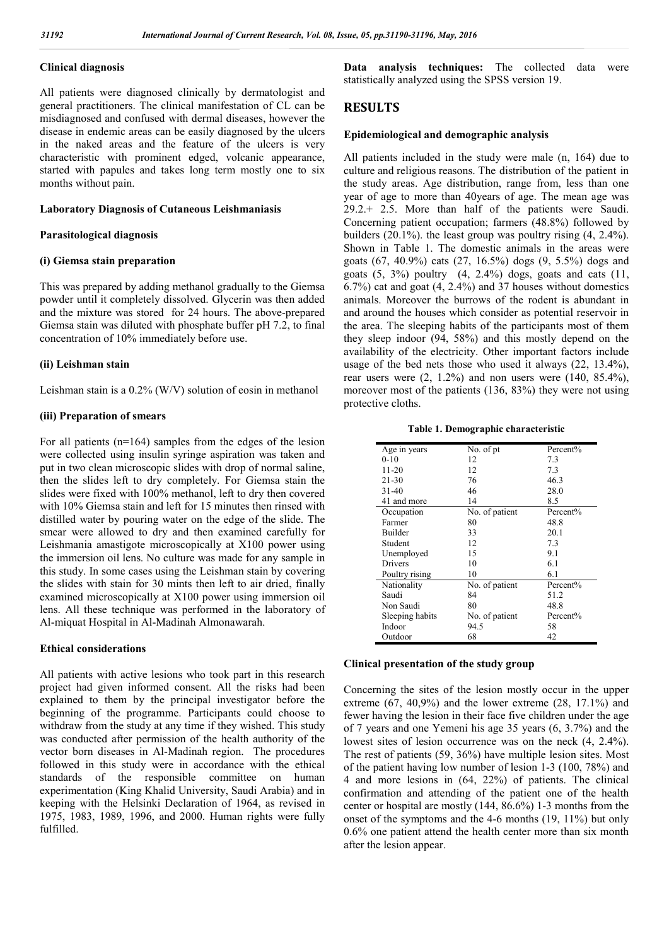# **Clinical diagnosis**

All patients were diagnosed clinically by dermatologist and general practitioners. The clinical manifestation of CL can be misdiagnosed and confused with dermal diseases, however the disease in endemic areas can be easily diagnosed by the ulcers in the naked areas and the feature of the ulcers is very characteristic with prominent edged, volcanic appearance, started with papules and takes long term mostly one to six months without pain.

#### **Laboratory Diagnosis of Cutaneous Leishmaniasis**

#### **Parasitological diagnosis**

#### **(i) Giemsa stain preparation**

This was prepared by adding methanol gradually to the Giemsa powder until it completely dissolved. Glycerin was then added and the mixture was stored for 24 hours. The above-prepared Giemsa stain was diluted with phosphate buffer pH 7.2, to final concentration of 10% immediately before use.

#### **(ii) Leishman stain**

Leishman stain is a 0.2% (W/V) solution of eosin in methanol

#### **(iii) Preparation of smears**

For all patients (n=164) samples from the edges of the lesion were collected using insulin syringe aspiration was taken and put in two clean microscopic slides with drop of normal saline, then the slides left to dry completely. For Giemsa stain the slides were fixed with 100% methanol, left to dry then covered with 10% Giemsa stain and left for 15 minutes then rinsed with distilled water by pouring water on the edge of the slide. The smear were allowed to dry and then examined carefully for Leishmania amastigote microscopically at X100 power using the immersion oil lens. No culture was made for any sample in this study. In some cases using the Leishman stain by covering the slides with stain for 30 mints then left to air dried, finally examined microscopically at X100 power using immersion oil lens. All these technique was performed in the laboratory of Al-miquat Hospital in Al-Madinah Almonawarah.

#### **Ethical considerations**

All patients with active lesions who took part in this research project had given informed consent. All the risks had been explained to them by the principal investigator before the beginning of the programme. Participants could choose to withdraw from the study at any time if they wished. This study was conducted after permission of the health authority of the vector born diseases in Al-Madinah region. The procedures followed in this study were in accordance with the ethical standards of the responsible committee on human experimentation (King Khalid University, Saudi Arabia) and in keeping with the Helsinki Declaration of 1964, as revised in 1975, 1983, 1989, 1996, and 2000. Human rights were fully fulfilled.

**Data analysis techniques:** The collected data were statistically analyzed using the SPSS version 19.

# **RESULTS**

#### **Epidemiological and demographic analysis**

All patients included in the study were male (n, 164) due to culture and religious reasons. The distribution of the patient in the study areas. Age distribution, range from, less than one year of age to more than 40years of age. The mean age was 29.2.+ 2.5. More than half of the patients were Saudi. Concerning patient occupation; farmers (48.8%) followed by builders (20.1%). the least group was poultry rising (4, 2.4%). Shown in Table 1. The domestic animals in the areas were goats (67, 40.9%) cats (27, 16.5%) dogs (9, 5.5%) dogs and goats  $(5, 3\%)$  poultry  $(4, 2.4\%)$  dogs, goats and cats  $(11, 1\%)$ 6.7%) cat and goat (4, 2.4%) and 37 houses without domestics animals. Moreover the burrows of the rodent is abundant in and around the houses which consider as potential reservoir in the area. The sleeping habits of the participants most of them they sleep indoor (94, 58%) and this mostly depend on the availability of the electricity. Other important factors include usage of the bed nets those who used it always (22, 13.4%), rear users were  $(2, 1.2\%)$  and non users were  $(140, 85.4\%).$ moreover most of the patients (136, 83%) they were not using protective cloths.

**Table 1. Demographic characteristic**

| No. of pt<br>Percent%<br>Age in years<br>$0 - 10$<br>7.3<br>12<br>11-20<br>7.3<br>12<br>$21 - 30$<br>76<br>46.3<br>$31-40$<br>46<br>28.0<br>41 and more<br>14<br>8.5<br>Percent%<br>Occupation<br>No. of patient<br>Farmer<br>48.8<br>80<br>Builder<br>20.1<br>33<br>12.<br>7.3<br>Student<br>9.1<br>15<br>Unemployed<br>Drivers<br>61<br>10<br>10<br>6.1<br>Poultry rising<br>Percent%<br>Nationality<br>No. of patient<br>Saudi<br>51.2<br>84<br>Non Saudi<br>80<br>48.8<br>Percent%<br>Sleeping habits<br>No. of patient |        |      |    |
|-----------------------------------------------------------------------------------------------------------------------------------------------------------------------------------------------------------------------------------------------------------------------------------------------------------------------------------------------------------------------------------------------------------------------------------------------------------------------------------------------------------------------------|--------|------|----|
|                                                                                                                                                                                                                                                                                                                                                                                                                                                                                                                             |        |      |    |
|                                                                                                                                                                                                                                                                                                                                                                                                                                                                                                                             |        |      |    |
|                                                                                                                                                                                                                                                                                                                                                                                                                                                                                                                             |        |      |    |
|                                                                                                                                                                                                                                                                                                                                                                                                                                                                                                                             |        |      |    |
|                                                                                                                                                                                                                                                                                                                                                                                                                                                                                                                             |        |      |    |
|                                                                                                                                                                                                                                                                                                                                                                                                                                                                                                                             |        |      |    |
|                                                                                                                                                                                                                                                                                                                                                                                                                                                                                                                             |        |      |    |
|                                                                                                                                                                                                                                                                                                                                                                                                                                                                                                                             |        |      |    |
|                                                                                                                                                                                                                                                                                                                                                                                                                                                                                                                             |        |      |    |
|                                                                                                                                                                                                                                                                                                                                                                                                                                                                                                                             |        |      |    |
|                                                                                                                                                                                                                                                                                                                                                                                                                                                                                                                             |        |      |    |
|                                                                                                                                                                                                                                                                                                                                                                                                                                                                                                                             |        |      |    |
|                                                                                                                                                                                                                                                                                                                                                                                                                                                                                                                             |        |      |    |
|                                                                                                                                                                                                                                                                                                                                                                                                                                                                                                                             |        |      |    |
|                                                                                                                                                                                                                                                                                                                                                                                                                                                                                                                             |        |      |    |
|                                                                                                                                                                                                                                                                                                                                                                                                                                                                                                                             |        |      |    |
|                                                                                                                                                                                                                                                                                                                                                                                                                                                                                                                             |        |      |    |
|                                                                                                                                                                                                                                                                                                                                                                                                                                                                                                                             | Indoor | 94.5 | 58 |
| 42<br>Outdoor<br>68                                                                                                                                                                                                                                                                                                                                                                                                                                                                                                         |        |      |    |

#### **Clinical presentation of the study group**

Concerning the sites of the lesion mostly occur in the upper extreme  $(67, 40,9\%)$  and the lower extreme  $(28, 17.1\%)$  and fewer having the lesion in their face five children under the age of 7 years and one Yemeni his age 35 years (6, 3.7%) and the lowest sites of lesion occurrence was on the neck (4, 2.4%). The rest of patients (59, 36%) have multiple lesion sites. Most of the patient having low number of lesion 1-3 (100, 78%) and 4 and more lesions in (64, 22%) of patients. The clinical confirmation and attending of the patient one of the health center or hospital are mostly (144, 86.6%) 1-3 months from the onset of the symptoms and the 4-6 months (19, 11%) but only 0.6% one patient attend the health center more than six month after the lesion appear.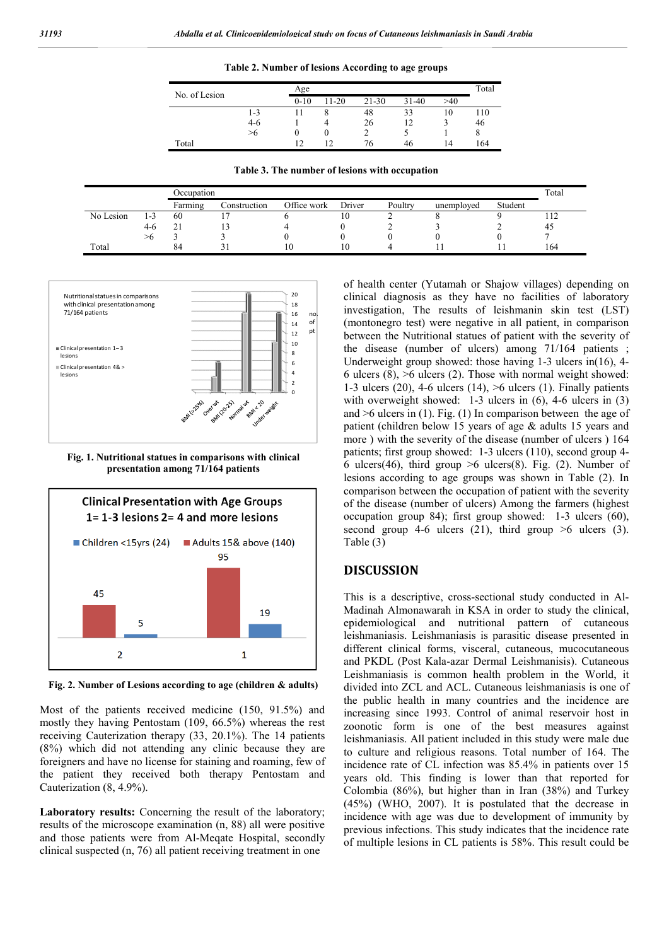**Table 2. Number of lesions According to age groups** 

|               |         | Age    |       |           |         |     | Total |  |
|---------------|---------|--------|-------|-----------|---------|-----|-------|--|
| No. of Lesion |         | $0-10$ | 11-20 | $21 - 30$ | $31-40$ | >40 |       |  |
|               | $1 - 3$ |        |       | 48        | 33      | 10  | 110   |  |
|               | $4-6$   |        |       | 26        | 12      |     | 46    |  |
|               | >6      | O      |       |           |         |     | O     |  |
| Total         |         |        | 12    | 76        | 46      | 14  | 164   |  |

**Table 3. The number of lesions with occupation**

|           |                    | Occupation |              |             |        |         |            | Total   |     |
|-----------|--------------------|------------|--------------|-------------|--------|---------|------------|---------|-----|
|           |                    | Farming    | Construction | Office work | Driver | Poultry | unemployed | Student |     |
| No Lesion | $\sqrt{ }$<br>ر- ا | -60        |              |             | 10     |         |            |         |     |
|           | 4-6                | ∠.         |              |             |        |         |            |         | 43  |
|           | >๓                 |            |              |             |        |         |            |         |     |
| Total     |                    | 84         |              | 10          | 10     |         |            |         | 164 |



**Fig. 1. Nutritional statues in comparisons with clinical presentation among 71/164 patients** 



**Fig. 2. Number of Lesions according to age (children & adults)**

Most of the patients received medicine (150, 91.5%) and mostly they having Pentostam (109, 66.5%) whereas the rest receiving Cauterization therapy (33, 20.1%). The 14 patients (8%) which did not attending any clinic because they are foreigners and have no license for staining and roaming, few of the patient they received both therapy Pentostam and Cauterization (8, 4.9%).

Laboratory results: Concerning the result of the laboratory; results of the microscope examination (n, 88) all were positive and those patients were from Al-Meqate Hospital, secondly clinical suspected (n, 76) all patient receiving treatment in one

of health center (Yutamah or Shajow villages) depending on clinical diagnosis as they have no facilities of laboratory investigation, The results of leishmanin skin test (LST) (montonegro test) were negative in all patient, in comparison between the Nutritional statues of patient with the severity of the disease (number of ulcers) among 71/164 patients ; Underweight group showed: those having 1-3 ulcers in(16), 4- 6 ulcers  $(8)$ ,  $>6$  ulcers  $(2)$ . Those with normal weight showed: 1-3 ulcers (20), 4-6 ulcers (14), >6 ulcers (1). Finally patients with overweight showed: 1-3 ulcers in  $(6)$ , 4-6 ulcers in  $(3)$ and  $\geq 6$  ulcers in (1). Fig. (1) In comparison between the age of patient (children below 15 years of age & adults 15 years and more ) with the severity of the disease (number of ulcers ) 164 patients; first group showed: 1-3 ulcers (110), second group 4- 6 ulcers(46), third group  $>6$  ulcers(8). Fig. (2). Number of lesions according to age groups was shown in Table (2). In comparison between the occupation of patient with the severity of the disease (number of ulcers) Among the farmers (highest occupation group 84); first group showed: 1-3 ulcers (60), second group 4-6 ulcers (21), third group  $\geq 6$  ulcers (3). Table (3)

# **DISCUSSION**

This is a descriptive, cross-sectional study conducted in Al-Madinah Almonawarah in KSA in order to study the clinical, epidemiological and nutritional pattern of cutaneous leishmaniasis. Leishmaniasis is parasitic disease presented in different clinical forms, visceral, cutaneous, mucocutaneous and PKDL (Post Kala-azar Dermal Leishmanisis). Cutaneous Leishmaniasis is common health problem in the World, it divided into ZCL and ACL. Cutaneous leishmaniasis is one of the public health in many countries and the incidence are increasing since 1993. Control of animal reservoir host in zoonotic form is one of the best measures against leishmaniasis. All patient included in this study were male due to culture and religious reasons. Total number of 164. The incidence rate of CL infection was 85.4% in patients over 15 years old. This finding is lower than that reported for Colombia (86%), but higher than in Iran (38%) and Turkey (45%) (WHO, 2007). It is postulated that the decrease in incidence with age was due to development of immunity by previous infections. This study indicates that the incidence rate of multiple lesions in CL patients is 58%. This result could be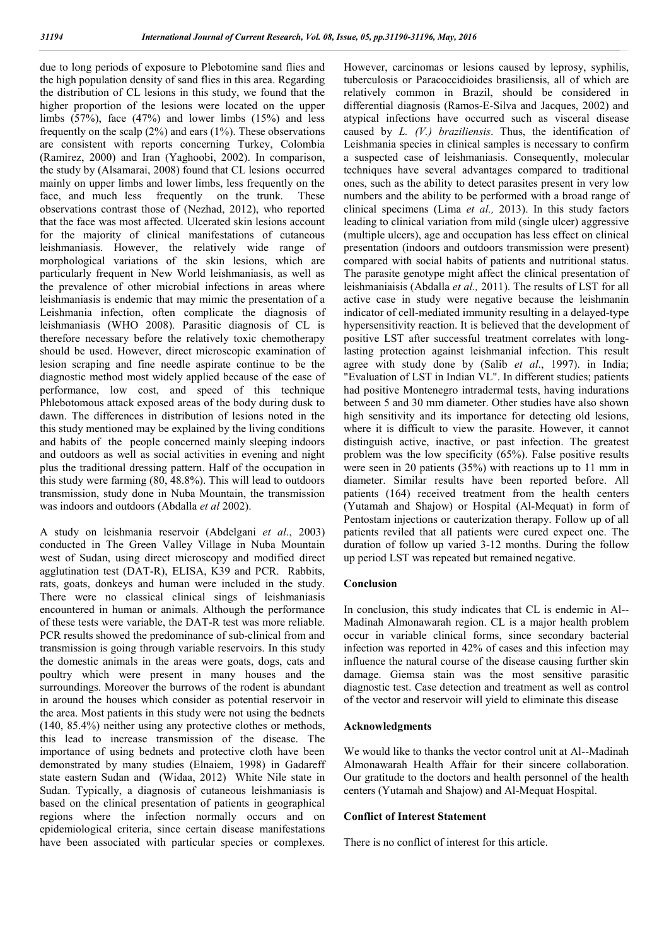due to long periods of exposure to Plebotomine sand flies and the high population density of sand flies in this area. Regarding the distribution of CL lesions in this study, we found that the higher proportion of the lesions were located on the upper limbs  $(57\%)$ , face  $(47\%)$  and lower limbs  $(15\%)$  and less frequently on the scalp (2%) and ears (1%). These observations are consistent with reports concerning Turkey, Colombia (Ramirez, 2000) and Iran (Yaghoobi, 2002). In comparison, the study by (Alsamarai, 2008) found that CL lesions occurred mainly on upper limbs and lower limbs, less frequently on the face, and much less frequently on the trunk. These observations contrast those of (Nezhad, 2012), who reported that the face was most affected. Ulcerated skin lesions account for the majority of clinical manifestations of cutaneous leishmaniasis. However, the relatively wide range of morphological variations of the skin lesions, which are particularly frequent in New World leishmaniasis, as well as the prevalence of other microbial infections in areas where leishmaniasis is endemic that may mimic the presentation of a Leishmania infection, often complicate the diagnosis of leishmaniasis (WHO 2008). Parasitic diagnosis of CL is therefore necessary before the relatively toxic chemotherapy should be used. However, direct microscopic examination of lesion scraping and fine needle aspirate continue to be the diagnostic method most widely applied because of the ease of performance, low cost, and speed of this technique Phlebotomous attack exposed areas of the body during dusk to dawn. The differences in distribution of lesions noted in the this study mentioned may be explained by the living conditions and habits of the people concerned mainly sleeping indoors and outdoors as well as social activities in evening and night plus the traditional dressing pattern. Half of the occupation in this study were farming (80, 48.8%). This will lead to outdoors transmission, study done in Nuba Mountain, the transmission was indoors and outdoors (Abdalla *et al* 2002).

A study on leishmania reservoir (Abdelgani *et al*., 2003) conducted in The Green Valley Village in Nuba Mountain west of Sudan, using direct microscopy and modified direct agglutination test (DAT-R), ELISA, K39 and PCR. Rabbits, rats, goats, donkeys and human were included in the study. There were no classical clinical sings of leishmaniasis encountered in human or animals. Although the performance of these tests were variable, the DAT-R test was more reliable. PCR results showed the predominance of sub-clinical from and transmission is going through variable reservoirs. In this study the domestic animals in the areas were goats, dogs, cats and poultry which were present in many houses and the surroundings. Moreover the burrows of the rodent is abundant in around the houses which consider as potential reservoir in the area. Most patients in this study were not using the bednets (140, 85.4%) neither using any protective clothes or methods, this lead to increase transmission of the disease. The importance of using bednets and protective cloth have been demonstrated by many studies (Elnaiem, 1998) in Gadareff state eastern Sudan and (Widaa, 2012) White Nile state in Sudan. Typically, a diagnosis of cutaneous leishmaniasis is based on the clinical presentation of patients in geographical regions where the infection normally occurs and on epidemiological criteria, since certain disease manifestations have been associated with particular species or complexes. However, carcinomas or lesions caused by leprosy, syphilis, tuberculosis or Paracoccidioides brasiliensis, all of which are relatively common in Brazil, should be considered in differential diagnosis (Ramos-E-Silva and Jacques, 2002) and atypical infections have occurred such as visceral disease caused by *L. (V.) braziliensis*. Thus, the identification of Leishmania species in clinical samples is necessary to confirm a suspected case of leishmaniasis. Consequently, molecular techniques have several advantages compared to traditional ones, such as the ability to detect parasites present in very low numbers and the ability to be performed with a broad range of clinical specimens (Lima *et al.,* 2013). In this study factors leading to clinical variation from mild (single ulcer) aggressive (multiple ulcers), age and occupation has less effect on clinical presentation (indoors and outdoors transmission were present) compared with social habits of patients and nutritional status. The parasite genotype might affect the clinical presentation of leishmaniaisis (Abdalla *et al.,* 2011). The results of LST for all active case in study were negative because the leishmanin indicator of cell-mediated immunity resulting in a delayed-type hypersensitivity reaction. It is believed that the development of positive LST after successful treatment correlates with longlasting protection against leishmanial infection. This result agree with study done by (Salib *et al*., 1997). in India; "Evaluation of LST in Indian VL". In different studies; patients had positive Montenegro intradermal tests, having indurations between 5 and 30 mm diameter. Other studies have also shown high sensitivity and its importance for detecting old lesions, where it is difficult to view the parasite. However, it cannot distinguish active, inactive, or past infection. The greatest problem was the low specificity (65%). False positive results were seen in 20 patients (35%) with reactions up to 11 mm in diameter. Similar results have been reported before. All patients (164) received treatment from the health centers (Yutamah and Shajow) or Hospital (Al-Mequat) in form of Pentostam injections or cauterization therapy. Follow up of all patients reviled that all patients were cured expect one. The duration of follow up varied 3-12 months. During the follow up period LST was repeated but remained negative.

#### **Conclusion**

In conclusion, this study indicates that CL is endemic in Al-- Madinah Almonawarah region. CL is a major health problem occur in variable clinical forms, since secondary bacterial infection was reported in 42% of cases and this infection may influence the natural course of the disease causing further skin damage. Giemsa stain was the most sensitive parasitic diagnostic test. Case detection and treatment as well as control of the vector and reservoir will yield to eliminate this disease

#### **Acknowledgments**

We would like to thanks the vector control unit at Al--Madinah Almonawarah Health Affair for their sincere collaboration. Our gratitude to the doctors and health personnel of the health centers (Yutamah and Shajow) and Al-Mequat Hospital.

#### **Conflict of Interest Statement**

There is no conflict of interest for this article.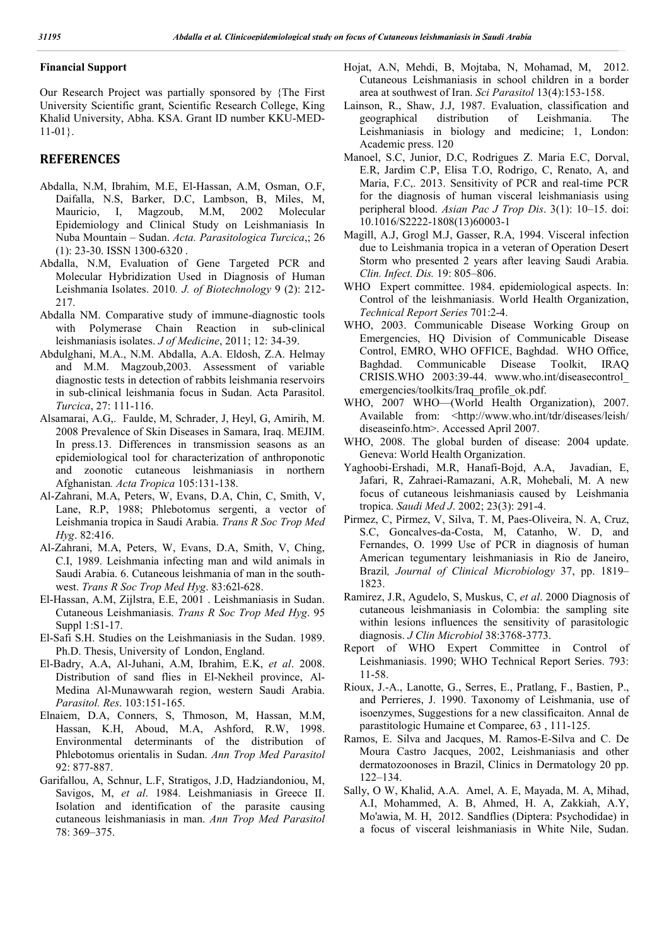### **Financial Support**

Our Research Project was partially sponsored by {The First University Scientific grant, Scientific Research College, King Khalid University, Abha. KSA. Grant ID number KKU-MED-11-01}.

# **REFERENCES**

- Abdalla, N.M, Ibrahim, M.E, El-Hassan, A.M, Osman, O.F, Daifalla, N.S, Barker, D.C, Lambson, B, Miles, M, Mauricio, I, Magzoub, M.M, 2002 Molecular Epidemiology and Clinical Study on Leishmaniasis In Nuba Mountain – Sudan. *Acta. Parasitologica Turcica*,; 26 (1): 23-30. ISSN 1300-6320 .
- Abdalla, N.M, Evaluation of Gene Targeted PCR and Molecular Hybridization Used in Diagnosis of Human Leishmania Isolates. 2010*. J. of Biotechnology* 9 (2): 212- 217.
- Abdalla NM. Comparative study of immune-diagnostic tools with Polymerase Chain Reaction in sub-clinical leishmaniasis isolates. *J of Medicine*, 2011; 12: 34-39.
- Abdulghani, M.A., N.M. Abdalla, A.A. Eldosh, Z.A. Helmay and M.M. Magzoub,2003. Assessment of variable diagnostic tests in detection of rabbits leishmania reservoirs in sub-clinical leishmania focus in Sudan. Acta Parasitol. *Turcica*, 27: 111-116.
- Alsamarai, A.G,. Faulde, M, Schrader, J, Heyl, G, Amirih, M. 2008 Prevalence of Skin Diseases in Samara, Iraq. MEJIM. In press.13. Differences in transmission seasons as an epidemiological tool for characterization of anthroponotic and zoonotic cutaneous leishmaniasis in northern Afghanistan*. Acta Tropica* 105:131-138.
- Al-Zahrani, M.A, Peters, W, Evans, D.A, Chin, C, Smith, V, Lane, R.P, 1988; Phlebotomus sergenti, a vector of Leishmania tropica in Saudi Arabia. *Trans R Soc Trop Med Hyg*. 82:416.
- Al-Zahrani, M.A, Peters, W, Evans, D.A, Smith, V, Ching, C.I, 1989. Leishmania infecting man and wild animals in Saudi Arabia. 6. Cutaneous leishmania of man in the southwest. *Trans R Soc Trop Med Hyg*. 83:62l-628.
- El-Hassan, A.M, Zijlstra, E.E, 2001 . Leishmaniasis in Sudan. Cutaneous Leishmaniasis. *Trans R Soc Trop Med Hyg*. 95 Suppl 1:S1-17.
- El-Safi S.H. Studies on the Leishmaniasis in the Sudan. 1989. Ph.D. Thesis, University of London, England.
- El-Badry, A.A, Al-Juhani, A.M, Ibrahim, E.K, *et al*. 2008. Distribution of sand flies in El-Nekheil province, Al-Medina Al-Munawwarah region, western Saudi Arabia. *Parasitol. Res*. 103:151-165.
- Elnaiem, D.A, Conners, S, Thmoson, M, Hassan, M.M, Hassan, K.H, Aboud, M.A, Ashford, R.W, 1998. Environmental determinants of the distribution of Phlebotomus orientalis in Sudan. *Ann Trop Med Parasitol* 92: 877-887.
- Garifallou, A, Schnur, L.F, Stratigos, J.D, Hadziandoniou, M, Savigos, M, *et al*. 1984. Leishmaniasis in Greece II. Isolation and identification of the parasite causing cutaneous leishmaniasis in man. *Ann Trop Med Parasitol* 78: 369–375.
- Hojat, A.N, Mehdi, B, Mojtaba, N, Mohamad, M, 2012. Cutaneous Leishmaniasis in school children in a border area at southwest of Iran. *Sci Parasitol* 13(4):153-158.
- Lainson, R., Shaw, J.J, 1987. Evaluation, classification and geographical distribution of Leishmania. The Leishmaniasis in biology and medicine; 1, London: Academic press. 120
- Manoel, S.C, Junior, D.C, Rodrigues Z. Maria E.C, Dorval, E.R, Jardim C.P, Elisa T.O, Rodrigo, C, Renato, A, and Maria, F.C,. 2013. Sensitivity of PCR and real-time PCR for the diagnosis of human visceral leishmaniasis using peripheral blood. *Asian Pac J Trop Dis*. 3(1): 10–15. doi: 10.1016/S2222-1808(13)60003-1
- Magill, A.J, Grogl M.J, Gasser, R.A, 1994. Visceral infection due to Leishmania tropica in a veteran of Operation Desert Storm who presented 2 years after leaving Saudi Arabia. *Clin. Infect. Dis.* 19: 805–806.
- WHO Expert committee. 1984. epidemiological aspects. In: Control of the leishmaniasis. World Health Organization, *Technical Report Series* 701:2-4.
- WHO, 2003. Communicable Disease Working Group on Emergencies, HQ Division of Communicable Disease Control, EMRO, WHO OFFICE, Baghdad. WHO Office, Baghdad. Communicable Disease Toolkit, IRAQ CRISIS.WHO 2003:39-44. www.who.int/diseasecontrol\_ emergencies/toolkits/Iraq\_profile\_ok.pdf.
- WHO, 2007 WHO—(World Health Organization), 2007. Available from: <http://www.who.int/tdr/diseases/leish/ diseaseinfo.htm>. Accessed April 2007.
- WHO, 2008. The global burden of disease: 2004 update. Geneva: World Health Organization.
- Yaghoobi-Ershadi, M.R, Hanafi-Bojd, A.A, Javadian, E, Jafari, R, Zahraei-Ramazani, A.R, Mohebali, M. A new focus of cutaneous leishmaniasis caused by Leishmania tropica. *Saudi Med J*. 2002; 23(3): 291-4.
- Pirmez, C, Pirmez, V, Silva, T. M, Paes-Oliveira, N. A, Cruz, S.C, Goncalves-da-Costa, M, Catanho, W. D, and Fernandes, O. 1999 Use of PCR in diagnosis of human American tegumentary leishmaniasis in Rio de Janeiro, Brazil*, Journal of Clinical Microbiology* 37, pp. 1819– 1823.
- Ramirez, J.R, Agudelo, S, Muskus, C, *et al*. 2000 Diagnosis of cutaneous leishmaniasis in Colombia: the sampling site within lesions influences the sensitivity of parasitologic diagnosis. *J Clin Microbiol* 38:3768-3773.
- Report of WHO Expert Committee in Control of Leishmaniasis. 1990; WHO Technical Report Series. 793: 11-58.
- Rioux, J.-A., Lanotte, G., Serres, E., Pratlang, F., Bastien, P., and Perrieres, J. 1990. Taxonomy of Leishmania, use of isoenzymes, Suggestions for a new classificaiton. Annal de parastitologic Humaine et Comparee, 63 , 111-125.
- Ramos, E. Silva and Jacques, M. Ramos-E-Silva and C. De Moura Castro Jacques, 2002, Leishmaniasis and other dermatozoonoses in Brazil, Clinics in Dermatology 20 pp. 122–134.
- Sally, O W, Khalid, A.A. Amel, A. E, Mayada, M. A, Mihad, A.I, Mohammed, A. B, Ahmed, H. A, Zakkiah, A.Y, Mo'awia, M. H, 2012. Sandflies (Diptera: Psychodidae) in a focus of visceral leishmaniasis in White Nile, Sudan.